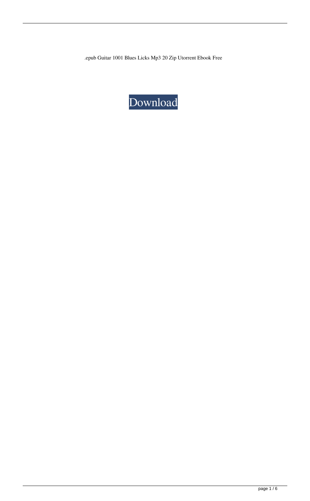.epub Guitar 1001 Blues Licks Mp3 20 Zip Utorrent Ebook Free

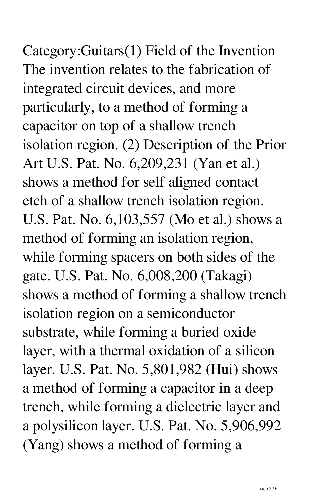Category:Guitars(1) Field of the Invention The invention relates to the fabrication of integrated circuit devices, and more particularly, to a method of forming a capacitor on top of a shallow trench isolation region. (2) Description of the Prior Art U.S. Pat. No. 6,209,231 (Yan et al.) shows a method for self aligned contact etch of a shallow trench isolation region. U.S. Pat. No. 6,103,557 (Mo et al.) shows a method of forming an isolation region, while forming spacers on both sides of the gate. U.S. Pat. No. 6,008,200 (Takagi) shows a method of forming a shallow trench isolation region on a semiconductor substrate, while forming a buried oxide layer, with a thermal oxidation of a silicon layer. U.S. Pat. No. 5,801,982 (Hui) shows a method of forming a capacitor in a deep trench, while forming a dielectric layer and a polysilicon layer. U.S. Pat. No. 5,906,992 (Yang) shows a method of forming a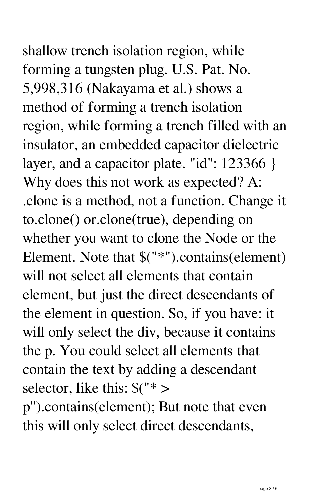shallow trench isolation region, while forming a tungsten plug. U.S. Pat. No. 5,998,316 (Nakayama et al.) shows a method of forming a trench isolation region, while forming a trench filled with an insulator, an embedded capacitor dielectric layer, and a capacitor plate. "id": 123366 } Why does this not work as expected? A: .clone is a method, not a function. Change it to.clone() or.clone(true), depending on whether you want to clone the Node or the Element. Note that \$("\*").contains(element) will not select all elements that contain element, but just the direct descendants of the element in question. So, if you have: it will only select the div, because it contains the p. You could select all elements that contain the text by adding a descendant selector, like this: \$("\* > p").contains(element); But note that even

this will only select direct descendants,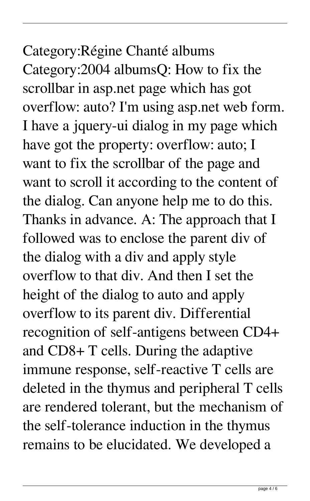Category:Régine Chanté albums Category:2004 albumsQ: How to fix the scrollbar in asp.net page which has got overflow: auto? I'm using asp.net web form. I have a jquery-ui dialog in my page which have got the property: overflow: auto; I want to fix the scrollbar of the page and want to scroll it according to the content of the dialog. Can anyone help me to do this. Thanks in advance. A: The approach that I followed was to enclose the parent div of the dialog with a div and apply style overflow to that div. And then I set the height of the dialog to auto and apply overflow to its parent div. Differential recognition of self-antigens between CD4+ and CD8+ T cells. During the adaptive immune response, self-reactive T cells are deleted in the thymus and peripheral T cells are rendered tolerant, but the mechanism of the self-tolerance induction in the thymus remains to be elucidated. We developed a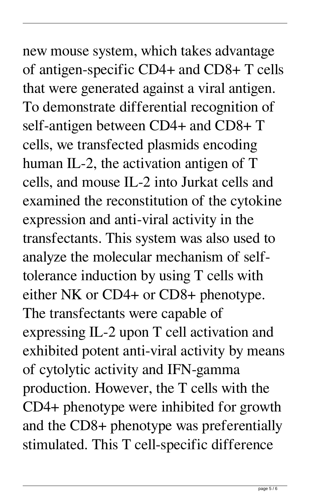new mouse system, which takes advantage of antigen-specific CD4+ and CD8+ T cells that were generated against a viral antigen. To demonstrate differential recognition of self-antigen between CD4+ and CD8+ T cells, we transfected plasmids encoding human IL-2, the activation antigen of T cells, and mouse IL-2 into Jurkat cells and examined the reconstitution of the cytokine expression and anti-viral activity in the transfectants. This system was also used to analyze the molecular mechanism of selftolerance induction by using T cells with either NK or CD4+ or CD8+ phenotype. The transfectants were capable of expressing IL-2 upon T cell activation and exhibited potent anti-viral activity by means of cytolytic activity and IFN-gamma production. However, the T cells with the CD4+ phenotype were inhibited for growth and the CD8+ phenotype was preferentially stimulated. This T cell-specific difference